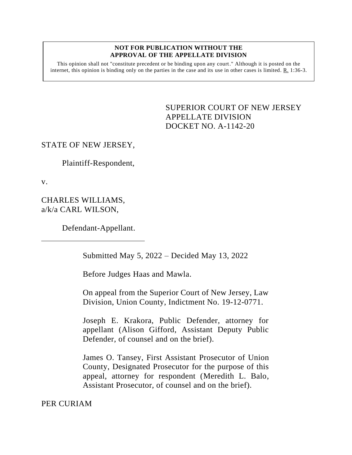## **NOT FOR PUBLICATION WITHOUT THE APPROVAL OF THE APPELLATE DIVISION**

This opinion shall not "constitute precedent or be binding upon any court." Although it is posted on the internet, this opinion is binding only on the parties in the case and its use in other cases is limited.  $R_1$  1:36-3.

> <span id="page-0-0"></span>SUPERIOR COURT OF NEW JERSEY APPELLATE DIVISION DOCKET NO. A-1142-20

## STATE OF NEW JERSEY,

Plaintiff-Respondent,

v.

CHARLES WILLIAMS, a/k/a CARL WILSON,

Defendant-Appellant.

Submitted May 5, 2022 – Decided May 13, 2022

Before Judges Haas and Mawla.

On appeal from the Superior Court of New Jersey, Law Division, Union County, Indictment No. 19-12-0771.

Joseph E. Krakora, Public Defender, attorney for appellant (Alison Gifford, Assistant Deputy Public Defender, of counsel and on the brief).

James O. Tansey, First Assistant Prosecutor of Union County, Designated Prosecutor for the purpose of this appeal, attorney for respondent (Meredith L. Balo, Assistant Prosecutor, of counsel and on the brief).

PER CURIAM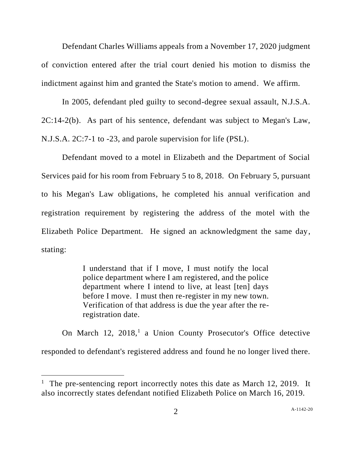Defendant Charles Williams appeals from a November 17, 2020 judgment of conviction entered after the trial court denied his motion to dismiss the indictment against him and granted the State's motion to amend. We affirm.

In 2005, defendant pled guilty to second-degree sexual assault, N.J.S.A. 2C:14-2(b). As part of his sentence, defendant was subject to Megan's Law, N.J.S.A. 2C:7-1 to -23, and parole supervision for life (PSL).

Defendant moved to a motel in Elizabeth and the Department of Social Services paid for his room from February 5 to 8, 2018. On February 5, pursuant to his Megan's Law obligations, he completed his annual verification and registration requirement by registering the address of the motel with the Elizabeth Police Department. He signed an acknowledgment the same day, stating:

> I understand that if I move, I must notify the local police department where I am registered, and the police department where I intend to live, at least [ten] days before I move. I must then re-register in my new town. Verification of that address is due the year after the reregistration date.

On March 12, 2018,<sup>1</sup> a Union County Prosecutor's Office detective responded to defendant's registered address and found he no longer lived there.

<sup>&</sup>lt;sup>1</sup> The pre-sentencing report incorrectly notes this date as March 12, 2019. It also incorrectly states defendant notified Elizabeth Police on March 16, 2019.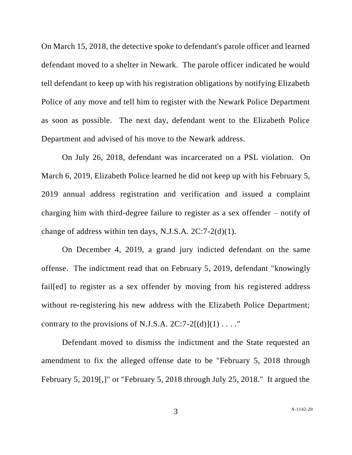On March 15, 2018, the detective spoke to defendant's parole officer and learned defendant moved to a shelter in Newark. The parole officer indicated he would tell defendant to keep up with his registration obligations by notifying Elizabeth Police of any move and tell him to register with the Newark Police Department as soon as possible. The next day, defendant went to the Elizabeth Police Department and advised of his move to the Newark address.

On July 26, 2018, defendant was incarcerated on a PSL violation. On March 6, 2019, Elizabeth Police learned he did not keep up with his February 5, 2019 annual address registration and verification and issued a complaint charging him with third-degree failure to register as a sex offender – notify of change of address within ten days, N.J.S.A. 2C:7-2(d)(1).

On December 4, 2019, a grand jury indicted defendant on the same offense. The indictment read that on February 5, 2019, defendant "knowingly fail[ed] to register as a sex offender by moving from his registered address without re-registering his new address with the Elizabeth Police Department; contrary to the provisions of N.J.S.A.  $2C:7-2[(d)](1) \ldots$ ."

Defendant moved to dismiss the indictment and the State requested an amendment to fix the alleged offense date to be "February 5, 2018 through February 5, 2019[,]" or "February 5, 2018 through July 25, 2018." It argued the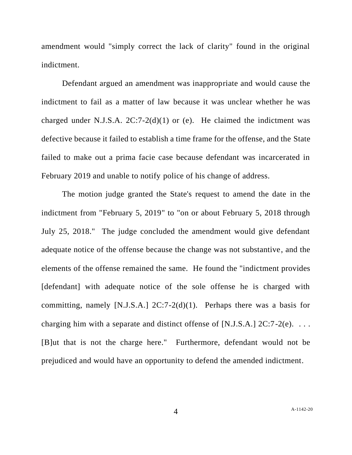amendment would "simply correct the lack of clarity" found in the original indictment.

Defendant argued an amendment was inappropriate and would cause the indictment to fail as a matter of law because it was unclear whether he was charged under N.J.S.A.  $2C:7-2(d)(1)$  or (e). He claimed the indictment was defective because it failed to establish a time frame for the offense, and the State failed to make out a prima facie case because defendant was incarcerated in February 2019 and unable to notify police of his change of address.

The motion judge granted the State's request to amend the date in the indictment from "February 5, 2019" to "on or about February 5, 2018 through July 25, 2018." The judge concluded the amendment would give defendant adequate notice of the offense because the change was not substantive, and the elements of the offense remained the same. He found the "indictment provides [defendant] with adequate notice of the sole offense he is charged with committing, namely [N.J.S.A.]  $2C:7-2(d)(1)$ . Perhaps there was a basis for charging him with a separate and distinct offense of [N.J.S.A.]  $2C:7-2(e)$ ... [B]ut that is not the charge here." Furthermore, defendant would not be prejudiced and would have an opportunity to defend the amended indictment.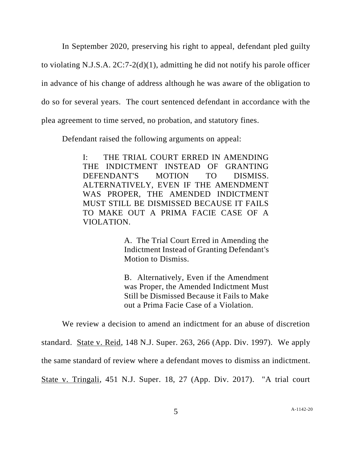In September 2020, preserving his right to appeal, defendant pled guilty to violating N.J.S.A. 2C:7-2(d)(1), admitting he did not notify his parole officer in advance of his change of address although he was aware of the obligation to do so for several years. The court sentenced defendant in accordance with the plea agreement to time served, no probation, and statutory fines.

Defendant raised the following arguments on appeal:

I: THE TRIAL COURT ERRED IN AMENDING THE INDICTMENT INSTEAD OF GRANTING DEFENDANT'S MOTION TO DISMISS. ALTERNATIVELY, EVEN IF THE AMENDMENT WAS PROPER, THE AMENDED INDICTMENT MUST STILL BE DISMISSED BECAUSE IT FAILS TO MAKE OUT A PRIMA FACIE CASE OF A VIOLATION.

> A. The Trial Court Erred in Amending the Indictment Instead of Granting Defendant's Motion to Dismiss.

> B. Alternatively, Even if the Amendment was Proper, the Amended Indictment Must Still be Dismissed Because it Fails to Make out a Prima Facie Case of a Violation.

We review a decision to amend an indictment for an abuse of discretion

standard. State v. Reid, 148 N.J. Super. 263, 266 (App. Div. 1997). We apply

the same standard of review where a defendant moves to dismiss an indictment.

State v. Tringali, 451 N.J. Super. 18, 27 (App. Div. 2017). "A trial court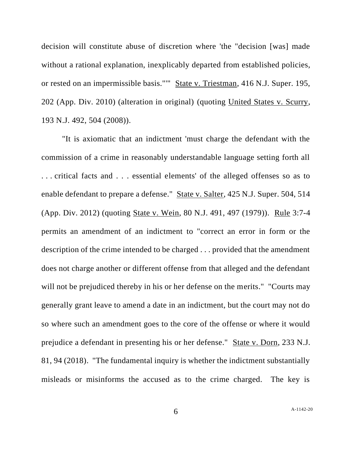decision will constitute abuse of discretion where 'the "decision [was] made without a rational explanation, inexplicably departed from established policies, or rested on an impermissible basis."'" State v. Triestman, 416 N.J. Super. 195, 202 (App. Div. 2010) (alteration in original) (quoting United States v. Scurry, 193 N.J. 492, 504 (2008)).

"It is axiomatic that an indictment 'must charge the defendant with the commission of a crime in reasonably understandable language setting forth all . . . critical facts and . . . essential elements' of the alleged offenses so as to enable defendant to prepare a defense." State v. Salter, 425 N.J. Super. 504, 514 (App. Div. 2012) (quoting State v. Wein, 80 N.J. 491, 497 (1979)). Rule 3:7-4 permits an amendment of an indictment to "correct an error in form or the description of the crime intended to be charged . . . provided that the amendment does not charge another or different offense from that alleged and the defendant will not be prejudiced thereby in his or her defense on the merits." "Courts may generally grant leave to amend a date in an indictment, but the court may not do so where such an amendment goes to the core of the offense or where it would prejudice a defendant in presenting his or her defense." State v. Dorn, 233 N.J. 81, 94 (2018). "The fundamental inquiry is whether the indictment substantially misleads or misinforms the accused as to the crime charged. The key is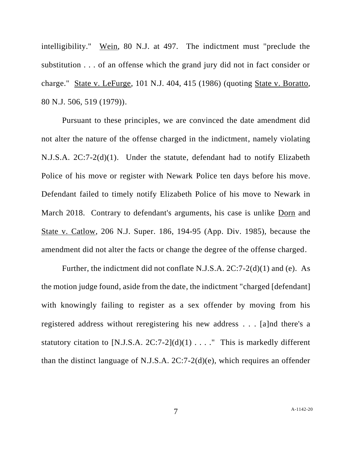intelligibility." Wein, 80 N.J. at 497. The indictment must "preclude the substitution . . . of an offense which the grand jury did not in fact consider or charge." State v. LeFurge, 101 N.J. 404, 415 (1986) (quoting State v. Boratto, 80 N.J. 506, 519 (1979)).

Pursuant to these principles, we are convinced the date amendment did not alter the nature of the offense charged in the indictment, namely violating N.J.S.A. 2C:7-2(d)(1). Under the statute, defendant had to notify Elizabeth Police of his move or register with Newark Police ten days before his move. Defendant failed to timely notify Elizabeth Police of his move to Newark in March 2018. Contrary to defendant's arguments, his case is unlike Dorn and State v. Catlow, 206 N.J. Super. 186, 194-95 (App. Div. 1985), because the amendment did not alter the facts or change the degree of the offense charged.

Further, the indictment did not conflate N.J.S.A. 2C:7-2(d)(1) and (e). As the motion judge found, aside from the date, the indictment "charged [defendant] with knowingly failing to register as a sex offender by moving from his registered address without reregistering his new address . . . [a]nd there's a statutory citation to [N.J.S.A.  $2C:7-2$ ](d)(1) . . . ." This is markedly different than the distinct language of N.J.S.A. 2C:7-2(d)(e), which requires an offender